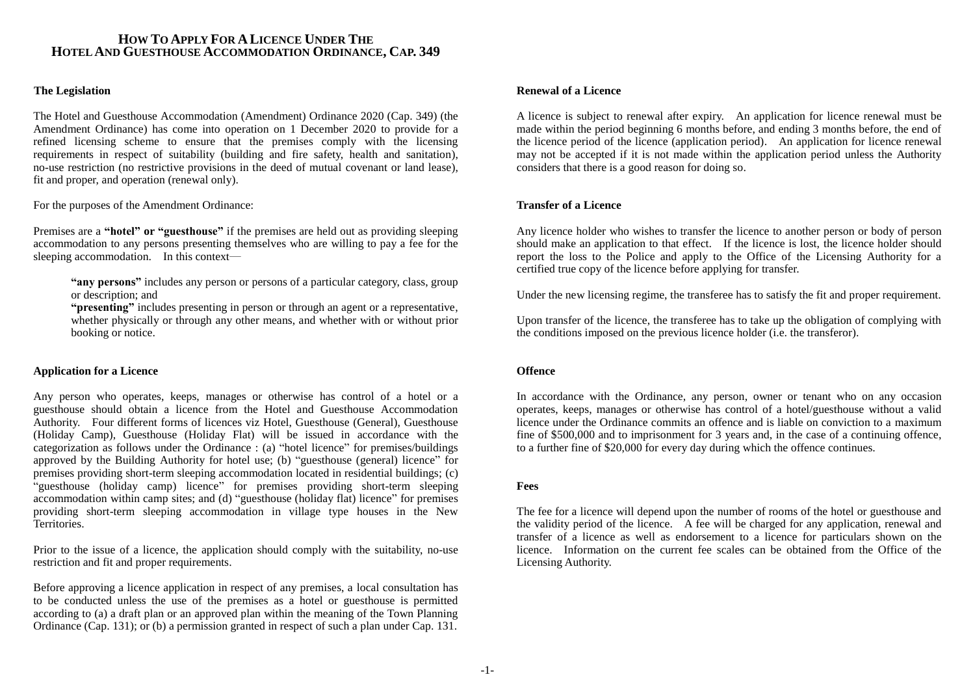# **HOW TO APPLY FOR A LICENCE UNDER THE HOTEL AND GUESTHOUSE ACCOMMODATION ORDINANCE, CAP. 349**

### **The Legislation**

The Hotel and Guesthouse Accommodation (Amendment) Ordinance 2020 (Cap. 349) (the Amendment Ordinance) has come into operation on 1 December 2020 to provide for a refined licensing scheme to ensure that the premises comply with the licensing requirements in respect of suitability (building and fire safety, health and sanitation), no-use restriction (no restrictive provisions in the deed of mutual covenant or land lease), fit and proper, and operation (renewal only).

For the purposes of the Amendment Ordinance:

Premises are a **"hotel" or "guesthouse"** if the premises are held out as providing sleeping accommodation to any persons presenting themselves who are willing to pay a fee for the sleeping accommodation. In this context—

**"any persons"** includes any person or persons of a particular category, class, group or description; and

**"presenting"** includes presenting in person or through an agent or a representative, whether physically or through any other means, and whether with or without prior booking or notice.

### **Application for a Licence**

Any person who operates, keeps, manages or otherwise has control of a hotel or a guesthouse should obtain a licence from the Hotel and Guesthouse Accommodation Authority. Four different forms of licences viz Hotel, Guesthouse (General), Guesthouse (Holiday Camp), Guesthouse (Holiday Flat) will be issued in accordance with the categorization as follows under the Ordinance : (a) "hotel licence" for premises/buildings approved by the Building Authority for hotel use; (b) "guesthouse (general) licence" for premises providing short-term sleeping accommodation located in residential buildings; (c) "guesthouse (holiday camp) licence" for premises providing short-term sleeping accommodation within camp sites; and (d) "guesthouse (holiday flat) licence" for premises providing short-term sleeping accommodation in village type houses in the New Territories.

Prior to the issue of a licence, the application should comply with the suitability, no-use restriction and fit and proper requirements.

Before approving a licence application in respect of any premises, a local consultation has to be conducted unless the use of the premises as a hotel or guesthouse is permitted according to (a) a draft plan or an approved plan within the meaning of the Town Planning Ordinance (Cap. 131); or (b) a permission granted in respect of such a plan under Cap. 131.

#### **Renewal of a Licence**

A licence is subject to renewal after expiry. An application for licence renewal must be made within the period beginning 6 months before, and ending 3 months before, the end of the licence period of the licence (application period). An application for licence renewal may not be accepted if it is not made within the application period unless the Authority considers that there is a good reason for doing so.

### **Transfer of a Licence**

Any licence holder who wishes to transfer the licence to another person or body of person should make an application to that effect. If the licence is lost, the licence holder should report the loss to the Police and apply to the Office of the Licensing Authority for a certified true copy of the licence before applying for transfer.

Under the new licensing regime, the transferee has to satisfy the fit and proper requirement.

Upon transfer of the licence, the transferee has to take up the obligation of complying with the conditions imposed on the previous licence holder (i.e. the transferor).

#### **Offence**

In accordance with the Ordinance, any person, owner or tenant who on any occasion operates, keeps, manages or otherwise has control of a hotel/guesthouse without a valid licence under the Ordinance commits an offence and is liable on conviction to a maximum fine of \$500,000 and to imprisonment for 3 years and, in the case of a continuing offence, to a further fine of \$20,000 for every day during which the offence continues.

### **Fees**

The fee for a licence will depend upon the number of rooms of the hotel or guesthouse and the validity period of the licence. A fee will be charged for any application, renewal and transfer of a licence as well as endorsement to a licence for particulars shown on the licence. Information on the current fee scales can be obtained from the Office of the Licensing Authority.